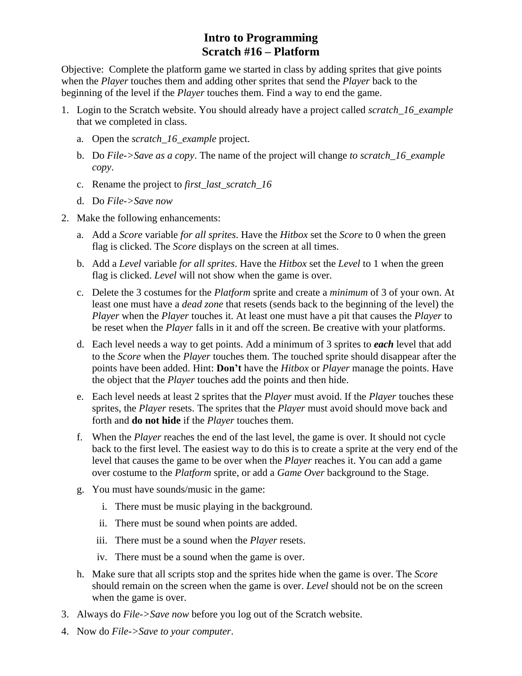## **Intro to Programming Scratch #16 – Platform**

Objective: Complete the platform game we started in class by adding sprites that give points when the *Player* touches them and adding other sprites that send the *Player* back to the beginning of the level if the *Player* touches them. Find a way to end the game.

- 1. Login to the Scratch website. You should already have a project called *scratch\_16\_example* that we completed in class.
	- a. Open the *scratch\_16\_example* project.
	- b. Do *File->Save as a copy*. The name of the project will change *to scratch\_16\_example copy*.
	- c. Rename the project to *first\_last\_scratch\_16*
	- d. Do *File->Save now*
- 2. Make the following enhancements:
	- a. Add a *Score* variable *for all sprites*. Have the *Hitbox* set the *Score* to 0 when the green flag is clicked. The *Score* displays on the screen at all times.
	- b. Add a *Level* variable *for all sprites*. Have the *Hitbox* set the *Level* to 1 when the green flag is clicked. *Level* will not show when the game is over.
	- c. Delete the 3 costumes for the *Platform* sprite and create a *minimum* of 3 of your own. At least one must have a *dead zone* that resets (sends back to the beginning of the level) the *Player* when the *Player* touches it. At least one must have a pit that causes the *Player* to be reset when the *Player* falls in it and off the screen. Be creative with your platforms.
	- d. Each level needs a way to get points. Add a minimum of 3 sprites to *each* level that add to the *Score* when the *Player* touches them. The touched sprite should disappear after the points have been added. Hint: **Don't** have the *Hitbox* or *Player* manage the points. Have the object that the *Player* touches add the points and then hide.
	- e. Each level needs at least 2 sprites that the *Player* must avoid. If the *Player* touches these sprites, the *Player* resets. The sprites that the *Player* must avoid should move back and forth and **do not hide** if the *Player* touches them.
	- f. When the *Player* reaches the end of the last level, the game is over. It should not cycle back to the first level. The easiest way to do this is to create a sprite at the very end of the level that causes the game to be over when the *Player* reaches it. You can add a game over costume to the *Platform* sprite, or add a *Game Over* background to the Stage.
	- g. You must have sounds/music in the game:
		- i. There must be music playing in the background.
		- ii. There must be sound when points are added.
		- iii. There must be a sound when the *Player* resets.
		- iv. There must be a sound when the game is over.
	- h. Make sure that all scripts stop and the sprites hide when the game is over. The *Score* should remain on the screen when the game is over. *Level* should not be on the screen when the game is over.
- 3. Always do *File->Save now* before you log out of the Scratch website.
- 4. Now do *File->Save to your computer*.